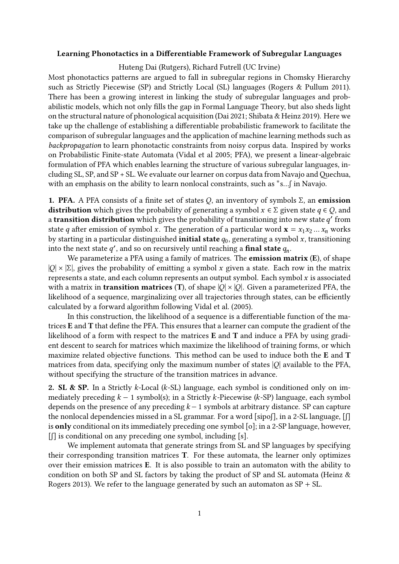## **Learning Phonotactics in a Differentiable Framework of Subregular Languages**

Huteng Dai (Rutgers), Richard Futrell (UC Irvine)

Most phonotactics patterns are argued to fall in subregular regions in Chomsky Hierarchy such as Strictly Piecewise (SP) and Strictly Local (SL) languages (Rogers & Pullum 2011). There has been a growing interest in linking the study of subregular languages and probabilistic models, which not only fills the gap in Formal Language Theory, but also sheds light on the structural nature of phonological acquisition (Dai 2021; Shibata & Heinz 2019). Here we take up the challenge of establishing a differentiable probabilistic framework to facilitate the comparison of subregular languages and the application of machine learning methods such as *backpropagation* to learn phonotactic constraints from noisy corpus data. Inspired by works on Probabilistic Finite-state Automata (Vidal et al 2005; PFA), we present a linear-algebraic formulation of PFA which enables learning the structure of various subregular languages, including SL, SP, and SP + SL. We evaluate our learner on corpus data from Navajo and Quechua, with an emphasis on the ability to learn nonlocal constraints, such as \*s...∫ in Navajo.

**1. PFA.** A PFA consists of a finite set of states  $Q$ , an inventory of symbols  $\Sigma$ , an **emission distribution** which gives the probability of generating a symbol  $x \in \Sigma$  given state  $q \in Q$ , and a **transition distribution** which gives the probability of transitioning into new state  $q'$  from state *q* after emission of symbol *x*. The generation of a particular word  $\mathbf{x} = x_1 x_2 ... x_n$  works by starting in a particular distinguished **initial state**  $q_0$ , generating a symbol  $x$ , transitioning into the next state  $q'$ , and so on recursively until reaching a **final state**  $q_n$ .

We parameterize a PFA using a family of matrices. The **emission matrix** (**E**), of shape  $|Q| \times |\Sigma|$ , gives the probability of emitting a symbol x given a state. Each row in the matrix represents a state, and each column represents an output symbol. Each symbol  $x$  is associated with a matrix in **transition matrices** (T), of shape  $|Q| \times |Q|$ . Given a parameterized PFA, the likelihood of a sequence, marginalizing over all trajectories through states, can be efficiently calculated by a forward algorithm following Vidal et al. (2005).

In this construction, the likelihood of a sequence is a differentiable function of the matrices **E** and **T** that define the PFA. This ensures that a learner can compute the gradient of the likelihood of a form with respect to the matrices **E** and **T** and induce a PFA by using gradient descent to search for matrices which maximize the likelihood of training forms, or which maximize related objective functions. This method can be used to induce both the **E** and **T** matrices from data, specifying only the maximum number of states  $|Q|$  available to the PFA, without specifying the structure of the transition matrices in advance.

**2. SL & SP.** In a Strictly  $k$ -Local ( $k$ -SL) language, each symbol is conditioned only on immediately preceding  $k - 1$  symbol(s); in a Strictly k-Piecewise (k-SP) language, each symbol depends on the presence of any preceding  $k - 1$  symbols at arbitrary distance. SP can capture the nonlocal dependencies missed in a SL grammar. For a word [sipo[], in a 2-SL language, [f] is **only** conditional on its immediately preceding one symbol [o]; in a 2-SP language, however, [ʃ] is conditional on any preceding one symbol, including [s].

We implement automata that generate strings from SL and SP languages by specifying their corresponding transition matrices **T**. For these automata, the learner only optimizes over their emission matrices **E**. It is also possible to train an automaton with the ability to condition on both SP and SL factors by taking the product of SP and SL automata (Heinz & Rogers 2013). We refer to the language generated by such an automaton as  $SP + SL$ .